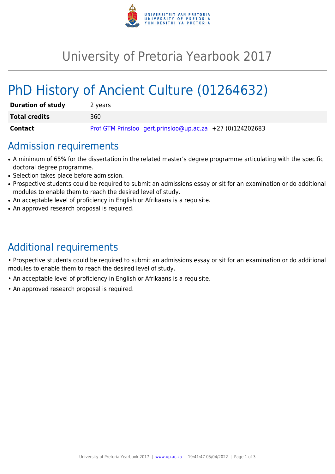

## University of Pretoria Yearbook 2017

# PhD History of Ancient Culture (01264632)

| <b>Duration of study</b> | 2 years                                                   |
|--------------------------|-----------------------------------------------------------|
| <b>Total credits</b>     | 360                                                       |
| <b>Contact</b>           | Prof GTM Prinsloo gert.prinsloo@up.ac.za +27 (0)124202683 |

#### Admission requirements

- A minimum of 65% for the dissertation in the related master's degree programme articulating with the specific doctoral degree programme.
- Selection takes place before admission.
- Prospective students could be required to submit an admissions essay or sit for an examination or do additional modules to enable them to reach the desired level of study.
- An acceptable level of proficiency in English or Afrikaans is a requisite.
- An approved research proposal is required.

## Additional requirements

• Prospective students could be required to submit an admissions essay or sit for an examination or do additional modules to enable them to reach the desired level of study.

- An acceptable level of proficiency in English or Afrikaans is a requisite.
- An approved research proposal is required.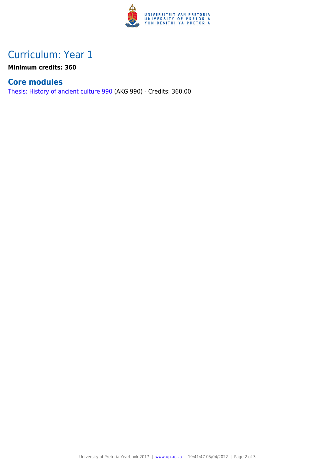

### Curriculum: Year 1

**Minimum credits: 360**

#### **Core modules**

[Thesis: History of ancient culture 990](https://www.up.ac.za/yearbooks/2017/modules/view/AKG 990) (AKG 990) - Credits: 360.00